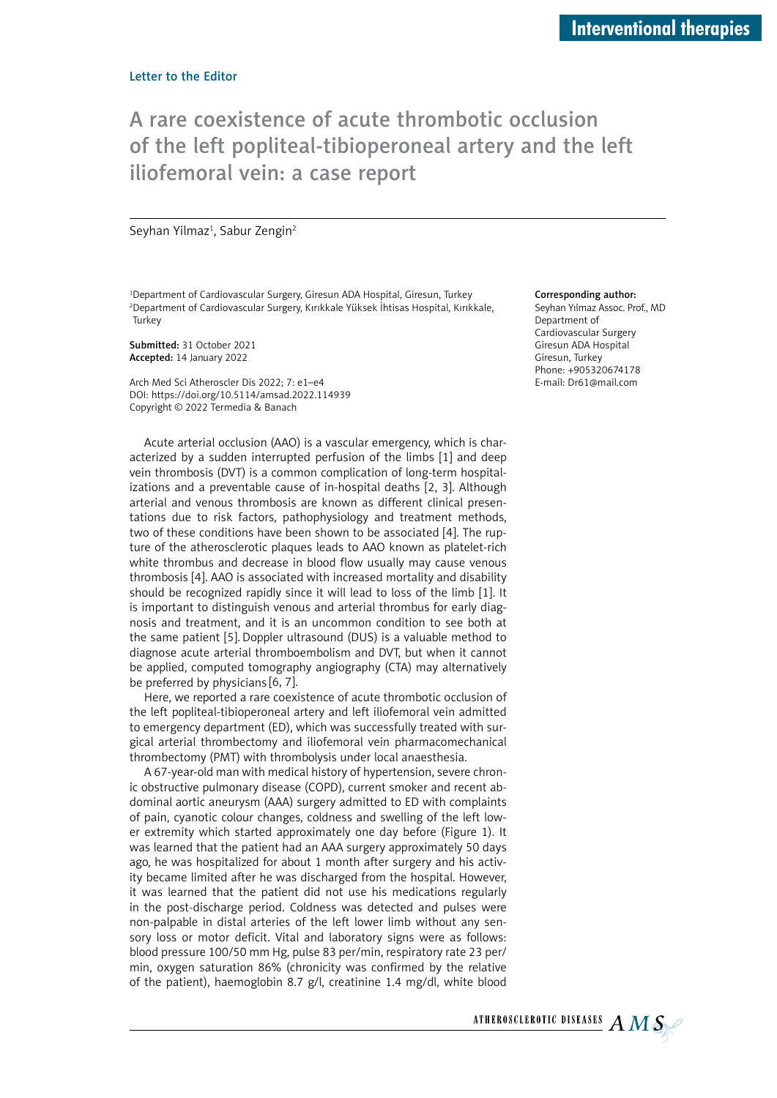## A rare coexistence of acute thrombotic occlusion of the left popliteal-tibioperoneal artery and the left iliofemoral vein: a case report

Seyhan Yilmaz<sup>1</sup>, Sabur Zengin<sup>2</sup>

<sup>1</sup>Department of Cardiovascular Surgery, Giresun ADA Hospital, Giresun, Turkey 2 Department of Cardiovascular Surgery, Kırıkkale Yüksek İhtisas Hospital, Kırıkkale, **Turkey** 

Submitted: 31 October 2021 Accepted: 14 January 2022

Arch Med Sci Atheroscler Dis 2022; 7: e1–e4 DOI: https://doi.org/10.5114/amsad.2022.114939 Copyright © 2022 Termedia & Banach

Acute arterial occlusion (AAO) is a vascular emergency, which is characterized by a sudden interrupted perfusion of the limbs [1] and deep vein thrombosis (DVT) is a common complication of long-term hospitalizations and a preventable cause of in-hospital deaths [2, 3]. Although arterial and venous thrombosis are known as different clinical presentations due to risk factors, pathophysiology and treatment methods, two of these conditions have been shown to be associated [4]. The rupture of the atherosclerotic plaques leads to AAO known as platelet-rich white thrombus and decrease in blood flow usually may cause venous thrombosis [4]. AAO is associated with increased mortality and disability should be recognized rapidly since it will lead to loss of the limb [1]. It is important to distinguish venous and arterial thrombus for early diagnosis and treatment, and it is an uncommon condition to see both at the same patient [5]. Doppler ultrasound (DUS) is a valuable method to diagnose acute arterial thromboembolism and DVT, but when it cannot be applied, computed tomography angiography (CTA) may alternatively be preferred by physicians [6, 7].

Here, we reported a rare coexistence of acute thrombotic occlusion of the left popliteal-tibioperoneal artery and left iliofemoral vein admitted to emergency department (ED), which was successfully treated with surgical arterial thrombectomy and iliofemoral vein pharmacomechanical thrombectomy (PMT) with thrombolysis under local anaesthesia.

A 67-year-old man with medical history of hypertension, severe chronic obstructive pulmonary disease (COPD), current smoker and recent abdominal aortic aneurysm (AAA) surgery admitted to ED with complaints of pain, cyanotic colour changes, coldness and swelling of the left lower extremity which started approximately one day before (Figure 1). It was learned that the patient had an AAA surgery approximately 50 days ago, he was hospitalized for about 1 month after surgery and his activity became limited after he was discharged from the hospital. However, it was learned that the patient did not use his medications regularly in the post-discharge period. Coldness was detected and pulses were non-palpable in distal arteries of the left lower limb without any sensory loss or motor deficit. Vital and laboratory signs were as follows: blood pressure 100/50 mm Hg, pulse 83 per/min, respiratory rate 23 per/ min, oxygen saturation 86% (chronicity was confirmed by the relative of the patient), haemoglobin 8.7 g/l, creatinine 1.4 mg/dl, white blood

## Corresponding author:

Seyhan Yılmaz Assoc. Prof., MD Department of Cardiovascular Surgery Giresun ADA Hospital Giresun, Turkey Phone: +905320674178 E-mail: Dr61@mail.com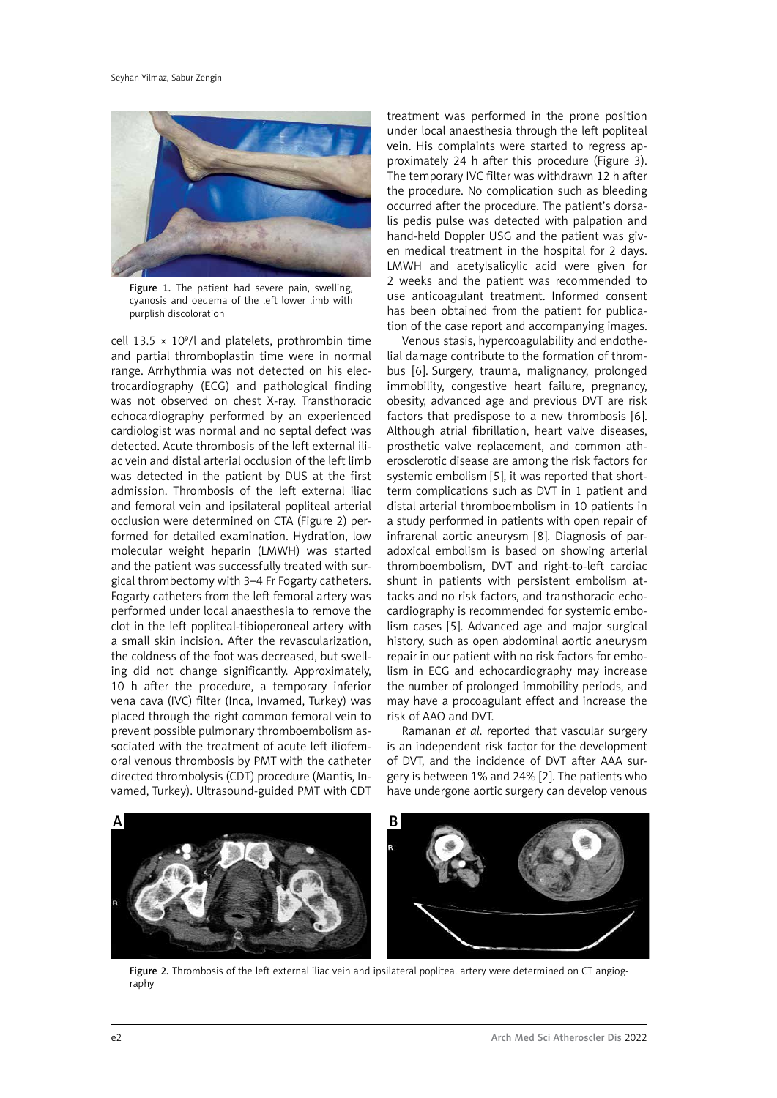

Figure 1. The patient had severe pain, swelling, cyanosis and oedema of the left lower limb with purplish discoloration

cell 13.5  $\times$  10<sup>9</sup>/l and platelets, prothrombin time and partial thromboplastin time were in normal range. Arrhythmia was not detected on his electrocardiography (ECG) and pathological finding was not observed on chest X-ray. Transthoracic echocardiography performed by an experienced cardiologist was normal and no septal defect was detected. Acute thrombosis of the left external iliac vein and distal arterial occlusion of the left limb was detected in the patient by DUS at the first admission. Thrombosis of the left external iliac and femoral vein and ipsilateral popliteal arterial occlusion were determined on CTA (Figure 2) performed for detailed examination. Hydration, low molecular weight heparin (LMWH) was started and the patient was successfully treated with surgical thrombectomy with 3–4 Fr Fogarty catheters. Fogarty catheters from the left femoral artery was performed under local anaesthesia to remove the clot in the left popliteal-tibioperoneal artery with a small skin incision. After the revascularization, the coldness of the foot was decreased, but swelling did not change significantly. Approximately, 10 h after the procedure, a temporary inferior vena cava (IVC) filter (Inca, Invamed, Turkey) was placed through the right common femoral vein to prevent possible pulmonary thromboembolism associated with the treatment of acute left iliofemoral venous thrombosis by PMT with the catheter directed thrombolysis (CDT) procedure (Mantis, Invamed, Turkey). Ultrasound-guided PMT with CDT

treatment was performed in the prone position under local anaesthesia through the left popliteal vein. His complaints were started to regress approximately 24 h after this procedure (Figure 3). The temporary IVC filter was withdrawn 12 h after the procedure. No complication such as bleeding occurred after the procedure. The patient's dorsalis pedis pulse was detected with palpation and hand-held Doppler USG and the patient was given medical treatment in the hospital for 2 days. LMWH and acetylsalicylic acid were given for 2 weeks and the patient was recommended to use anticoagulant treatment. Informed consent has been obtained from the patient for publication of the case report and accompanying images.

Venous stasis, hypercoagulability and endothelial damage contribute to the formation of thrombus [6]. Surgery, trauma, malignancy, prolonged immobility, congestive heart failure, pregnancy, obesity, advanced age and previous DVT are risk factors that predispose to a new thrombosis [6]. Although atrial fibrillation, heart valve diseases, prosthetic valve replacement, and common atherosclerotic disease are among the risk factors for systemic embolism [5], it was reported that shortterm complications such as DVT in 1 patient and distal arterial thromboembolism in 10 patients in a study performed in patients with open repair of infrarenal aortic aneurysm [8]. Diagnosis of paradoxical embolism is based on showing arterial thromboembolism, DVT and right-to-left cardiac shunt in patients with persistent embolism attacks and no risk factors, and transthoracic echocardiography is recommended for systemic embolism cases [5]. Advanced age and major surgical history, such as open abdominal aortic aneurysm repair in our patient with no risk factors for embolism in ECG and echocardiography may increase the number of prolonged immobility periods, and may have a procoagulant effect and increase the risk of AAO and DVT.

Ramanan *et al*. reported that vascular surgery is an independent risk factor for the development of DVT, and the incidence of DVT after AAA surgery is between 1% and 24% [2]. The patients who have undergone aortic surgery can develop venous



Figure 2. Thrombosis of the left external iliac vein and ipsilateral popliteal artery were determined on CT angiography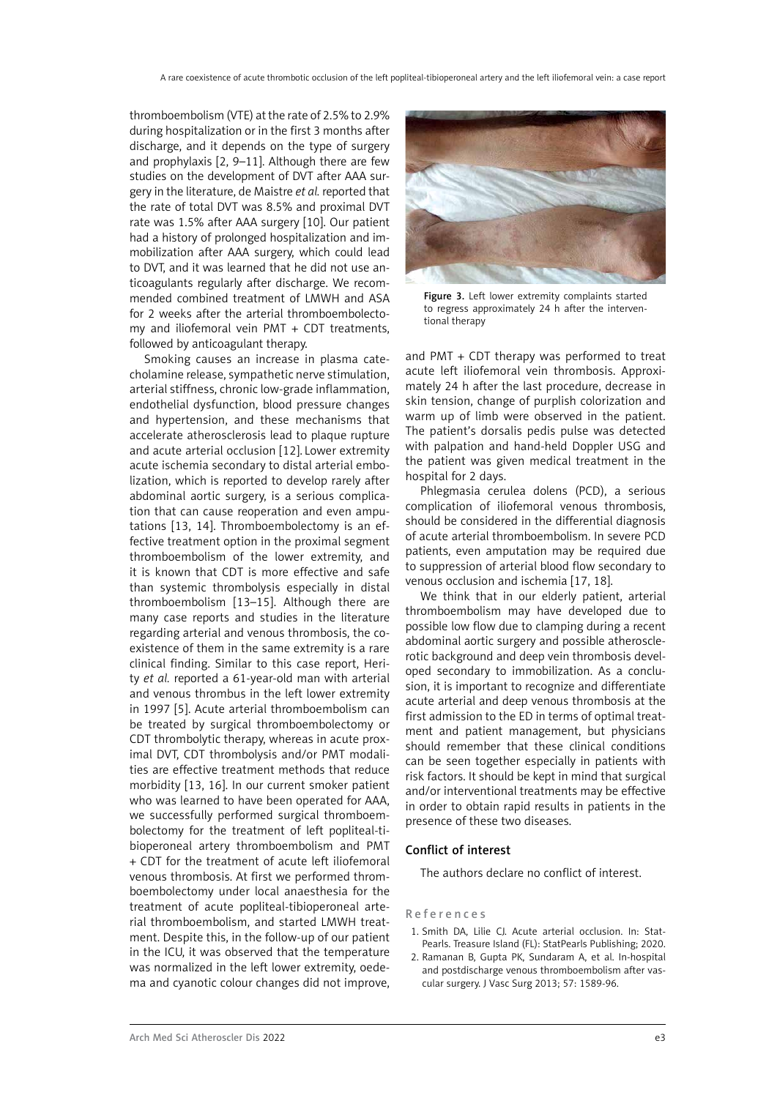thromboembolism (VTE) at the rate of 2.5% to 2.9% during hospitalization or in the first 3 months after discharge, and it depends on the type of surgery and prophylaxis [2, 9–11]. Although there are few studies on the development of DVT after AAA surgery in the literature, de Maistre *et al.* reported that the rate of total DVT was 8.5% and proximal DVT rate was 1.5% after AAA surgery [10]. Our patient had a history of prolonged hospitalization and immobilization after AAA surgery, which could lead to DVT, and it was learned that he did not use anticoagulants regularly after discharge. We recommended combined treatment of LMWH and ASA for 2 weeks after the arterial thromboembolectomy and iliofemoral vein PMT + CDT treatments, followed by anticoagulant therapy.

Smoking causes an increase in plasma catecholamine release, sympathetic nerve stimulation, arterial stiffness, chronic low-grade inflammation, endothelial dysfunction, blood pressure changes and hypertension, and these mechanisms that accelerate atherosclerosis lead to plaque rupture and acute arterial occlusion [12]. Lower extremity acute ischemia secondary to distal arterial embolization, which is reported to develop rarely after abdominal aortic surgery, is a serious complication that can cause reoperation and even amputations [13, 14]. Thromboembolectomy is an effective treatment option in the proximal segment thromboembolism of the lower extremity, and it is known that CDT is more effective and safe than systemic thrombolysis especially in distal thromboembolism [13–15]. Although there are many case reports and studies in the literature regarding arterial and venous thrombosis, the coexistence of them in the same extremity is a rare clinical finding. Similar to this case report, Herity *et al.* reported a 61-year-old man with arterial and venous thrombus in the left lower extremity in 1997 [5]. Acute arterial thromboembolism can be treated by surgical thromboembolectomy or CDT thrombolytic therapy, whereas in acute proximal DVT, CDT thrombolysis and/or PMT modalities are effective treatment methods that reduce morbidity [13, 16]. In our current smoker patient who was learned to have been operated for AAA, we successfully performed surgical thromboembolectomy for the treatment of left popliteal-tibioperoneal artery thromboembolism and PMT + CDT for the treatment of acute left iliofemoral venous thrombosis. At first we performed thromboembolectomy under local anaesthesia for the treatment of acute popliteal-tibioperoneal arterial thromboembolism, and started LMWH treatment. Despite this, in the follow-up of our patient in the ICU, it was observed that the temperature was normalized in the left lower extremity, oedema and cyanotic colour changes did not improve,



Figure 3. Left lower extremity complaints started to regress approximately 24 h after the interventional therapy

and PMT + CDT therapy was performed to treat acute left iliofemoral vein thrombosis. Approximately 24 h after the last procedure, decrease in skin tension, change of purplish colorization and warm up of limb were observed in the patient. The patient's dorsalis pedis pulse was detected with palpation and hand-held Doppler USG and the patient was given medical treatment in the hospital for 2 days.

Phlegmasia cerulea dolens (PCD), a serious complication of iliofemoral venous thrombosis, should be considered in the differential diagnosis of acute arterial thromboembolism. In severe PCD patients, even amputation may be required due to suppression of arterial blood flow secondary to venous occlusion and ischemia [17, 18].

We think that in our elderly patient, arterial thromboembolism may have developed due to possible low flow due to clamping during a recent abdominal aortic surgery and possible atherosclerotic background and deep vein thrombosis developed secondary to immobilization. As a conclusion, it is important to recognize and differentiate acute arterial and deep venous thrombosis at the first admission to the ED in terms of optimal treatment and patient management, but physicians should remember that these clinical conditions can be seen together especially in patients with risk factors. It should be kept in mind that surgical and/or interventional treatments may be effective in order to obtain rapid results in patients in the presence of these two diseases.

## Conflict of interest

The authors declare no conflict of interest.

## References

- 1. Smith DA, Lilie CJ. Acute arterial occlusion. In: Stat-Pearls. Treasure Island (FL): StatPearls Publishing; 2020.
- 2. Ramanan B, Gupta PK, Sundaram A, et al. In-hospital and postdischarge venous thromboembolism after vascular surgery. J Vasc Surg 2013; 57: 1589-96.